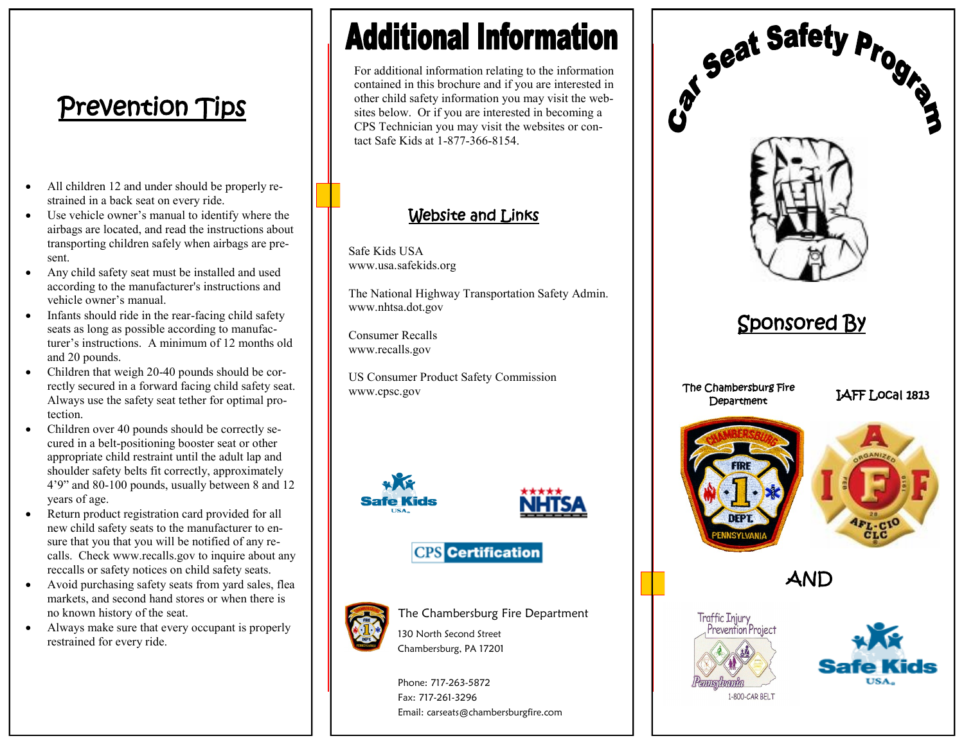# Prevention Tips

- All children 12 and under should be properly restrained in a back seat on every ride.
- Use vehicle owner's manual to identify where the airbags are located, and read the instructions about transporting children safely when airbags are present.
- Any child safety seat must be installed and used according to the manufacturer's instructions and vehicle owner's manual.
- Infants should ride in the rear-facing child safety seats as long as possible according to manufacturer's instructions. A minimum of 12 months old and 20 pounds.
- Children that weigh 20-40 pounds should be correctly secured in a forward facing child safety seat. Always use the safety seat tether for optimal protection.
- Children over 40 pounds should be correctly secured in a belt-positioning booster seat or other appropriate child restraint until the adult lap and shoulder safety belts fit correctly, approximately 4'9" and 80-100 pounds, usually between 8 and 12 years of age.
- Return product registration card provided for all new child safety seats to the manufacturer to ensure that you that you will be notified of any recalls. Check www.recalls.gov to inquire about any reccalls or safety notices on child safety seats.
- Avoid purchasing safety seats from yard sales, flea markets, and second hand stores or when there is no known history of the seat.
- Always make sure that every occupant is properly restrained for every ride.

# **Additional Information**

For additional information relating to the information contained in this brochure and if you are interested in other child safety information you may visit the websites below. Or if you are interested in becoming a CPS Technician you may visit the websites or contact Safe Kids at 1-877-366-8154.

# Website and Links

Safe Kids USA www.usa.safekids.org

The National Highway Transportation Safety Admin. www.nhtsa.dot.gov

Consumer Recalls www.recalls.gov

US Consumer Product Safety Commission www.cpsc.gov





## **CPS** Certification



The Chambersburg Fire Department

130 North Second Street Chambersburg, PA 17201

Phone: 717-263-5872 Fax: 717-261-3296 Email: carseats@chambersburgfire.com



1-800-CAR BELT